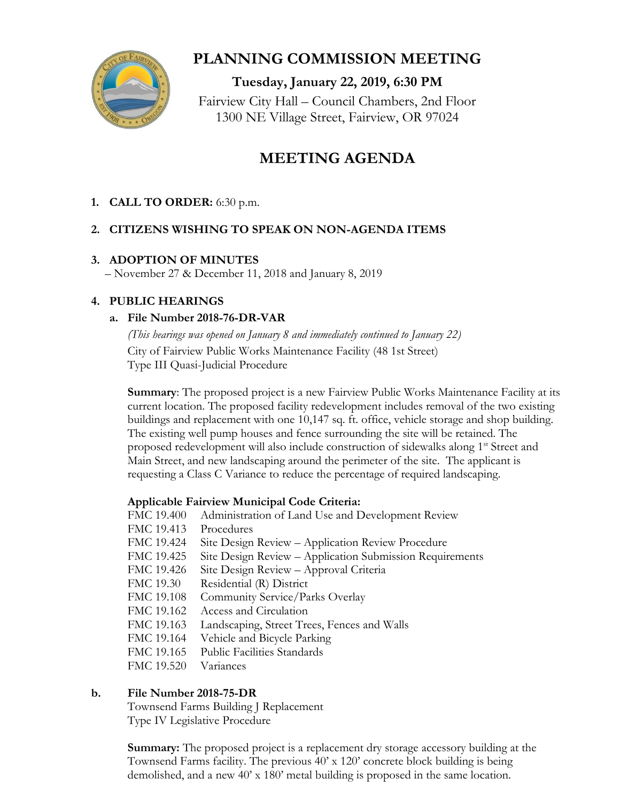

## **PLANNING COMMISSION MEETING**

**Tuesday, January 22, 2019, 6:30 PM** Fairview City Hall – Council Chambers, 2nd Floor 1300 NE Village Street, Fairview, OR 97024

# **MEETING AGENDA**

## **1. CALL TO ORDER:** 6:30 p.m.

## **2. CITIZENS WISHING TO SPEAK ON NON-AGENDA ITEMS**

#### **3. ADOPTION OF MINUTES**

– November 27 & December 11, 2018 and January 8, 2019

## **4. PUBLIC HEARINGS**

## **a. File Number 2018-76-DR-VAR**

*(This hearings was opened on January 8 and immediately continued to January 22)* City of Fairview Public Works Maintenance Facility (48 1st Street) Type III Quasi-Judicial Procedure

**Summary**: The proposed project is a new Fairview Public Works Maintenance Facility at its current location. The proposed facility redevelopment includes removal of the two existing buildings and replacement with one 10,147 sq. ft. office, vehicle storage and shop building. The existing well pump houses and fence surrounding the site will be retained. The proposed redevelopment will also include construction of sidewalks along 1<sup>st</sup> Street and Main Street, and new landscaping around the perimeter of the site. The applicant is requesting a Class C Variance to reduce the percentage of required landscaping.

#### **Applicable Fairview Municipal Code Criteria:**

- FMC 19.400 Administration of Land Use and Development Review
- FMC 19.413 Procedures
- FMC 19.424 Site Design Review Application Review Procedure
- FMC 19.425 Site Design Review Application Submission Requirements
- FMC 19.426 Site Design Review Approval Criteria
- FMC 19.30 Residential (R) District
- FMC 19.108 Community Service/Parks Overlay
- FMC 19.162 Access and Circulation
- FMC 19.163 Landscaping, Street Trees, Fences and Walls
- FMC 19.164 Vehicle and Bicycle Parking
- FMC 19.165 Public Facilities Standards
- FMC 19.520 Variances

## **b. File Number 2018-75-DR**

Townsend Farms Building J Replacement Type IV Legislative Procedure

**Summary:** The proposed project is a replacement dry storage accessory building at the Townsend Farms facility. The previous 40' x 120' concrete block building is being demolished, and a new 40' x 180' metal building is proposed in the same location.